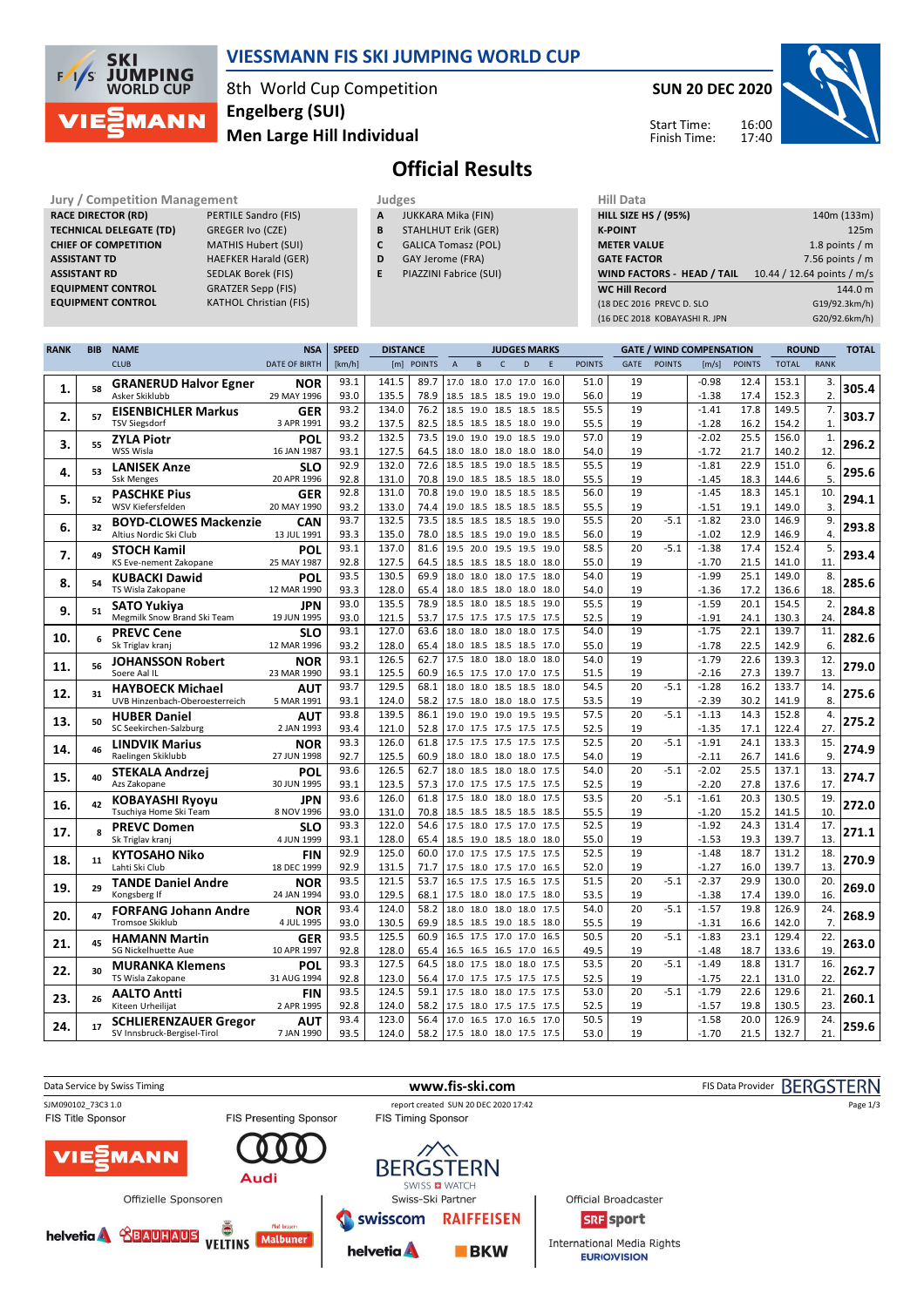

### **VIESSMANN FIS SKI JUMPING WORLD CUP**

8th World Cup Competition **Men Large Hill Individual Engelberg (SUI)**

**SUN 20 DEC 2020**





# **Official Results**

**Jury / Competition Management Judges Hill Data**<br> **RACE DIRECTOR (RD)** PERTILE Sandro (FIS) **A** JUKKARA Mika (FIN) **HILL SIZE H RACE DIRECTOR (RD) TECHNICAL DELEGATE (TD)** GREGER Ivo (CZE)<br> **CHIEF OF COMPETITION** MATHIS Hubert (SUI) **CHIEF OF COMPETITION ASSISTANT TD** HAEFKER Harald (GER) **ASSISTANT RD** SEDLAK Borek (FIS)<br>**EQUIPMENT CONTROL** GRATZER Sepp (FIS) **EQUIPMENT CONTROL**<br>**EQUIPMENT CONTROL** 

**EXATHOL Christian (FIS)** 

- **A** JUKKARA Mika (FIN) **B** STAHLHUT Erik (GER)
- **C** GALICA Tomasz (POL)
- **D** GAY Jerome (FRA)
- **E** PIAZZINI Fabrice (SUI)

| 140m (133m)                |
|----------------------------|
| 125m                       |
| 1.8 points $/m$            |
| 7.56 points $/m$           |
| 10.44 / 12.64 points / m/s |
| 144.0 m                    |
| G19/92.3km/h)              |
| G20/92.6km/h)              |
|                            |

| <b>RANK</b> | <b>BIB</b> | <b>NAME</b>                                           | <b>NSA</b>                | <b>SPEED</b> | <b>DISTANCE</b> |              |                |                                            | <b>JUDGES MARKS</b> |                |              |               |             |               | <b>GATE / WIND COMPENSATION</b> |               | <b>ROUND</b>   |                  | <b>TOTAL</b> |
|-------------|------------|-------------------------------------------------------|---------------------------|--------------|-----------------|--------------|----------------|--------------------------------------------|---------------------|----------------|--------------|---------------|-------------|---------------|---------------------------------|---------------|----------------|------------------|--------------|
|             |            | <b>CLUB</b>                                           | <b>DATE OF BIRTH</b>      | [km/h]       |                 | [m] POINTS   | $\overline{A}$ | $\overline{B}$                             | $\mathsf{C}$        | $\overline{D}$ | F            | <b>POINTS</b> | <b>GATE</b> | <b>POINTS</b> | [m/s]                           | <b>POINTS</b> | <b>TOTAL</b>   | <b>RANK</b>      |              |
|             |            | <b>GRANERUD Halvor Egner</b>                          | <b>NOR</b>                | 93.1         | 141.5           | 89.7         |                | 17.0 18.0 17.0 17.0                        |                     |                | 16.0         | 51.0          | 19          |               | $-0.98$                         | 12.4          | 153.1          | 3.               |              |
| 1.          | 58         | Asker Skiklubb                                        | 29 MAY 1996               | 93.0         | 135.5           | 78.9         |                | 18.5 18.5 18.5 19.0                        |                     |                | 19.0         | 56.0          | 19          |               | $-1.38$                         | 17.4          | 152.3          | $\overline{2}$ . | 305.4        |
|             | 57         | <b>EISENBICHLER Markus</b>                            | <b>GER</b>                | 93.2         | 134.0           | 76.2         | 18.5           | 19.0                                       | 18.5 18.5           |                | 18.5         | 55.5          | 19          |               | $-1.41$                         | 17.8          | 149.5          | 7.               |              |
| 2.          |            | <b>TSV Siegsdorf</b>                                  | 3 APR 1991                | 93.2         | 137.5           | 82.5         |                | 18.5 18.5 18.5 18.0                        |                     |                | 19.0         | 55.5          | 19          |               | $-1.28$                         | 16.2          | 154.2          | $\mathbf{1}$     | 303.7        |
| 3.          | 55         | <b>ZYLA Piotr</b>                                     | POL                       | 93.2         | 132.5           | 73.5         |                | 19.0 19.0 19.0                             |                     | 18.5           | 19.0         | 57.0          | 19          |               | $-2.02$                         | 25.5          | 156.0          | $\mathbf{1}$     | 296.2        |
|             |            | WSS Wisla                                             | 16 JAN 1987               | 93.1         | 127.5           | 64.5         |                | 18.0 18.0 18.0 18.0                        |                     |                | 18.0         | 54.0          | 19          |               | $-1.72$                         | 21.7          | 140.2          | 12.              |              |
| 4.          | 53         | <b>LANISEK Anze</b>                                   | SLO                       | 92.9         | 132.0           | 72.6         | 18.5           | 18.5 19.0                                  |                     | 18.5           | 18.5         | 55.5          | 19          |               | $-1.81$                         | 22.9          | 151.0          | 6.               | 295.6        |
|             |            | <b>Ssk Menges</b>                                     | 20 APR 1996               | 92.8         | 131.0           | 70.8         |                | 19.0 18.5 18.5 18.5                        |                     |                | 18.0         | 55.5          | 19          |               | $-1.45$                         | 18.3          | 144.6          | 5.               |              |
| 5.          | 52         | <b>PASCHKE Pius</b>                                   | <b>GER</b>                | 92.8         | 131.0           | 70.8         |                | 19.0 19.0 18.5 18.5                        |                     |                | 18.5         | 56.0          | 19          |               | $-1.45$                         | 18.3          | 145.1          | 10.              | 294.1        |
|             |            | WSV Kiefersfelden                                     | 20 MAY 1990               | 93.2         | 133.0           | 74.4         |                | 19.0 18.5 18.5 18.5                        |                     |                | 18.5         | 55.5          | 19          |               | $-1.51$                         | 19.1          | 149.0          | 3.               |              |
| 6.          | 32         | <b>BOYD-CLOWES Mackenzie</b>                          | CAN                       | 93.7         | 132.5           | 73.5         |                | 18.5 18.5 18.5 18.5                        |                     |                | 19.0         | 55.5          | 20          | $-5.1$        | $-1.82$                         | 23.0          | 146.9          | 9.               | 293.8        |
|             |            | Altius Nordic Ski Club                                | 13 JUL 1991               | 93.3         | 135.0           | 78.0         |                | 18.5 18.5 19.0 19.0                        |                     |                | 18.5         | 56.0          | 19          |               | $-1.02$                         | 12.9          | 146.9          | 4.               |              |
| 7.          | 49         | <b>STOCH Kamil</b>                                    | POL                       | 93.1         | 137.0           | 81.6         |                | 19.5 20.0 19.5 19.5                        |                     |                | 19.0         | 58.5          | 20          | $-5.1$        | $-1.38$                         | 17.4          | 152.4          | 5.               | 293.4        |
|             |            | KS Eve-nement Zakopane                                | 25 MAY 1987               | 92.8         | 127.5           | 64.5         |                | 18.5 18.5 18.5 18.0                        |                     |                | 18.0         | 55.0          | 19          |               | $-1.70$                         | 21.5          | 141.0          | 11.              |              |
| 8.          | 54         | <b>KUBACKI Dawid</b><br>TS Wisla Zakopane             | POL<br>12 MAR 1990        | 93.5         | 130.5<br>128.0  | 69.9         |                | 18.0 18.0 18.0 17.5<br>18.0 18.5 18.0 18.0 |                     |                | 18.0<br>18.0 | 54.0          | 19<br>19    |               | $-1.99$                         | 25.1          | 149.0          | 8.<br>18.        | 285.6        |
|             |            |                                                       |                           | 93.3<br>93.0 | 135.5           | 65.4<br>78.9 |                | 18.5 18.0 18.5 18.5                        |                     |                | 19.0         | 54.0<br>55.5  | 19          |               | $-1.36$<br>$-1.59$              | 17.2<br>20.1  | 136.6<br>154.5 | 2.               |              |
| 9.          | 51         | <b>SATO Yukiya</b><br>Megmilk Snow Brand Ski Team     | JPN<br>19 JUN 1995        | 93.0         | 121.5           | 53.7         |                | 17.5 17.5 17.5 17.5                        |                     |                | 17.5         | 52.5          | 19          |               | $-1.91$                         | 24.1          | 130.3          | 24.              | 284.8        |
|             |            |                                                       |                           | 93.1         | 127.0           | 63.6         |                | 18.0 18.0 18.0 18.0                        |                     |                | 17.5         | 54.0          | 19          |               | $-1.75$                         | 22.1          | 139.7          | 11.              |              |
| 10.         | 6          | <b>PREVC Cene</b><br>Sk Triglav kranj                 | SLO<br>12 MAR 1996        | 93.2         | 128.0           | 65.4         |                | 18.0 18.5 18.5 18.5                        |                     |                | 17.0         | 55.0          | 19          |               | $-1.78$                         | 22.5          | 142.9          | 6.               | 282.6        |
|             |            | <b>JOHANSSON Robert</b>                               | NOR                       | 93.1         | 126.5           | 62.7         |                | 17.5 18.0 18.0 18.0                        |                     |                | 18.0         | 54.0          | 19          |               | $-1.79$                         | 22.6          | 139.3          | 12.              |              |
| 11.         | 56         | Soere Aal IL                                          | 23 MAR 1990               | 93.1         | 125.5           | 60.9         |                | 16.5 17.5 17.0 17.0                        |                     |                | 17.5         | 51.5          | 19          |               | $-2.16$                         | 27.3          | 139.7          | 13.              | 279.0        |
|             |            | <b>HAYBOECK Michael</b>                               | <b>AUT</b>                | 93.7         | 129.5           | 68.1         | 18.0           |                                            | 18.0 18.5 18.5      |                | 18.0         | 54.5          | 20          | $-5.1$        | $-1.28$                         | 16.2          | 133.7          | 14.              |              |
| 12.         | 31         | UVB Hinzenbach-Oberoesterreich                        | 5 MAR 1991                | 93.1         | 124.0           | 58.2         |                | 17.5 18.0 18.0 18.0                        |                     |                | 17.5         | 53.5          | 19          |               | $-2.39$                         | 30.2          | 141.9          | 8.               | 275.6        |
|             |            | <b>HUBER Daniel</b>                                   | <b>AUT</b>                | 93.8         | 139.5           | 86.1         |                | 19.0 19.0 19.0 19.5                        |                     |                | 19.5         | 57.5          | 20          | $-5.1$        | $-1.13$                         | 14.3          | 152.8          | 4.               |              |
| 13.         | 50         | SC Seekirchen-Salzburg                                | 2 JAN 1993                | 93.4         | 121.0           | 52.8         |                | 17.0 17.5 17.5 17.5 17.5                   |                     |                |              | 52.5          | 19          |               | $-1.35$                         | 17.1          | 122.4          | 27.              | 275.2        |
|             | 46         | <b>LINDVIK Marius</b>                                 | NOR                       | 93.3         | 126.0           | 61.8         |                | 17.5 17.5 17.5 17.5                        |                     |                | 17.5         | 52.5          | 20          | $-5.1$        | $-1.91$                         | 24.1          | 133.3          | 15.              | 274.9        |
| 14.         |            | Raelingen Skiklubb                                    | 27 JUN 1998               | 92.7         | 125.5           | 60.9         |                | 18.0 18.0 18.0 18.0                        |                     |                | 17.5         | 54.0          | 19          |               | $-2.11$                         | 26.7          | 141.6          | 9.               |              |
| 15.         | 40         | STEKALA Andrzej                                       | POL                       | 93.6         | 126.5           | 62.7         |                | 18.0 18.5 18.0 18.0                        |                     |                | 17.5         | 54.0          | 20          | $-5.1$        | $-2.02$                         | 25.5          | 137.1          | 13.              | 274.7        |
|             |            | Azs Zakopane                                          | 30 JUN 1995               | 93.1         | 123.5           | 57.3         |                | 17.0 17.5 17.5 17.5                        |                     |                | 17.5         | 52.5          | 19          |               | $-2.20$                         | 27.8          | 137.6          | 17.              |              |
| 16.         | 42         | <b>KOBAYASHI Ryoyu</b>                                | JPN                       | 93.6         | 126.0           | 61.8         | 17.5           | 18.0 18.0                                  |                     | 18.0           | 17.5         | 53.5          | 20          | $-5.1$        | $-1.61$                         | 20.3          | 130.5          | 19.              | 272.0        |
|             |            | Tsuchiya Home Ski Team                                | 8 NOV 1996                | 93.0         | 131.0           | 70.8         |                | 18.5 18.5 18.5 18.5                        |                     |                | 18.5         | 55.5          | 19          |               | $-1.20$                         | 15.2          | 141.5          | 10.              |              |
| 17.         | 8          | <b>PREVC Domen</b>                                    | <b>SLO</b>                | 93.3         | 122.0           | 54.6         | 17.5           |                                            | 18.0 17.5 17.0      |                | 17.5         | 52.5          | 19          |               | $-1.92$                         | 24.3          | 131.4          | 17.              | 271.1        |
|             |            | Sk Triglav kranj                                      | 4 JUN 1999                | 93.1         | 128.0           | 65.4         |                | 18.5 19.0 18.5 18.0                        |                     |                | 18.0         | 55.0          | 19          |               | $-1.53$                         | 19.3          | 139.7          | 13.              |              |
| 18.         | 11         | <b>KYTOSAHO Niko</b>                                  | <b>FIN</b>                | 92.9         | 125.0           | 60.0         | 17.0           |                                            | 17.5 17.5 17.5      |                | 17.5         | 52.5          | 19          |               | $-1.48$                         | 18.7          | 131.2          | 18.              | 270.9        |
|             |            | Lahti Ski Club                                        | 18 DEC 1999               | 92.9         | 131.5           | 71.7         |                | 17.5 18.0 17.5 17.0                        |                     |                | 16.5         | 52.0          | 19<br>20    |               | $-1.27$<br>$-2.37$              | 16.0<br>29.9  | 139.7          | 13.<br>20.       |              |
| 19.         | 29         | <b>TANDE Daniel Andre</b>                             | <b>NOR</b>                | 93.5         | 121.5           | 53.7         |                | 16.5 17.5 17.5 16.5                        |                     |                | 17.5         | 51.5          |             | $-5.1$        |                                 |               | 130.0          |                  | 269.0        |
|             |            | Kongsberg If                                          | 24 JAN 1994               | 93.0<br>93.4 | 129.5<br>124.0  | 68.1<br>58.2 | 18.0           | 17.5 18.0 18.0 17.5 18.0                   | 18.0 18.0 18.0      |                | 17.5         | 53.5<br>54.0  | 19<br>20    | $-5.1$        | $-1.38$<br>$-1.57$              | 17.4<br>19.8  | 139.0<br>126.9 | 16.<br>24.       |              |
| 20.         | 47         | <b>FORFANG Johann Andre</b><br><b>Tromsoe Skiklub</b> | <b>NOR</b><br>4 JUL 1995  | 93.0         | 130.5           | 69.9         |                | 18.5 18.5 19.0 18.5                        |                     |                | 18.0         | 55.5          | 19          |               | $-1.31$                         | 16.6          | 142.0          | 7.               | 268.9        |
|             |            |                                                       |                           | 93.5         | 125.5           | 60.9         |                | 16.5 17.5 17.0                             |                     | 17.0           | 16.5         | 50.5          | 20          | $-5.1$        | $-1.83$                         | 23.1          | 129.4          | 22.              |              |
| 21.         | 45         | <b>HAMANN Martin</b><br><b>SG Nickelhuette Aue</b>    | <b>GER</b><br>10 APR 1997 | 92.8         | 128.0           | 65.4         |                | 16.5 16.5 16.5 17.0                        |                     |                | 16.5         | 49.5          | 19          |               | $-1.48$                         | 18.7          | 133.6          | 19.              | 263.0        |
|             |            | <b>MURANKA Klemens</b>                                | POL                       | 93.3         | 127.5           | 64.5         |                | 18.0 17.5 18.0                             |                     | 18.0           | 17.5         | 53.5          | 20          | $-5.1$        | $-1.49$                         | 18.8          | 131.7          | 16.              |              |
| 22.         | 30         | TS Wisla Zakopane                                     | 31 AUG 1994               | 92.8         | 123.0           | 56.4         |                | 17.0 17.5 17.5 17.5 17.5                   |                     |                |              | 52.5          | 19          |               | $-1.75$                         | 22.1          | 131.0          | 22               | 262.7        |
|             |            | <b>AALTO Antti</b>                                    | FIN                       | 93.5         | 124.5           | 59.1         | 17.5           | 18.0 18.0                                  |                     | 17.5           | 17.5         | 53.0          | 20          | $-5.1$        | $-1.79$                         | 22.6          | 129.6          | 21.              |              |
| 23.         | 26         | Kiteen Urheilijat                                     | 2 APR 1995                | 92.8         | 124.0           | 58.2         |                | 17.5 18.0 17.5 17.5                        |                     |                | 17.5         | 52.5          | 19          |               | -1.57                           | 19.8          | 130.5          | 23.              | 260.1        |
|             |            | <b>SCHLIERENZAUER Gregor</b>                          | <b>AUT</b>                | 93.4         | 123.0           | 56.4         |                | 17.0 16.5 17.0 16.5                        |                     |                | 17.0         | 50.5          | 19          |               | $-1.58$                         | 20.0          | 126.9          | 24.              |              |
| 24.         | 17         | SV Innsbruck-Bergisel-Tirol                           | 7 JAN 1990                | 93.5         | 124.0           | 58.2         |                | 17.5 18.0 18.0 17.5 17.5                   |                     |                |              | 53.0          | 19          |               | $-1.70$                         | 21.5          | 132.7          | 21.              | 259.6        |

| Data Service by Swiss Timing |                              |                               |                           | www.fis-ski.com                          |                                                          | FIS Data Provider BERGSTERN |
|------------------------------|------------------------------|-------------------------------|---------------------------|------------------------------------------|----------------------------------------------------------|-----------------------------|
| SJM090102_73C3 1.0           |                              |                               |                           | report created SUN 20 DEC 2020 17:42     | Page 1/3                                                 |                             |
| <b>FIS Title Sponsor</b>     |                              | <b>FIS Presenting Sponsor</b> | <b>FIS Timing Sponsor</b> |                                          |                                                          |                             |
|                              | <b>VIEWANN</b>               | Audi                          |                           | <b>BERGSTERN</b><br>SWISS <b>D</b> WATCH |                                                          |                             |
|                              | Offizielle Sponsoren         |                               |                           | Swiss-Ski Partner                        | Official Broadcaster                                     |                             |
|                              | helvetia <b>&amp;BAUHAUS</b> | Ŏ<br>Mal besser:              | swisscom                  | <b>RAIFFEISEN</b>                        | <b>SRF</b> sport                                         |                             |
|                              |                              | <b>Malbuner</b>               | helvetia A                | <b>BKW</b>                               | <b>International Media Rights</b><br><b>EURIO)VISION</b> |                             |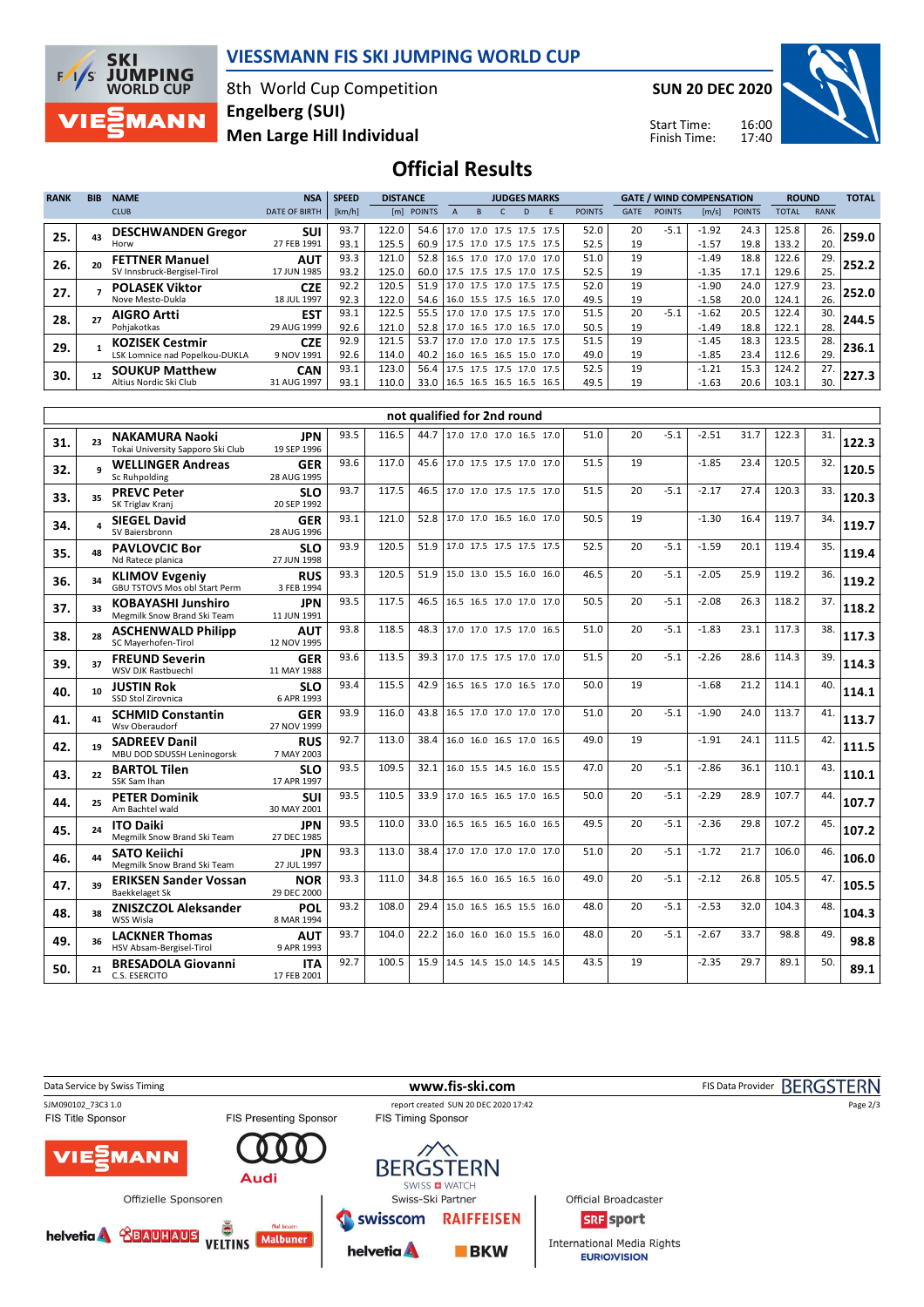

#### **VIESSMANN FIS SKI JUMPING WORLD CUP**

8th World Cup Competition **Men Large Hill Individual Engelberg (SUI)**

**SUN 20 DEC 2020**

Start Time: Finish Time:



### **Official Results**

| <b>RANK</b> | <b>BIB</b> | <b>NAME</b>                                                | <b>NSA</b>                               | <b>SPEED</b>         | <b>DISTANCE</b>         |                             |                                 |                                                                                  | <b>JUDGES MARKS</b> |   |   |                      |                | <b>GATE / WIND COMPENSATION</b> |                               |                      | <b>ROUND</b>            |                   | <b>TOTAL</b> |
|-------------|------------|------------------------------------------------------------|------------------------------------------|----------------------|-------------------------|-----------------------------|---------------------------------|----------------------------------------------------------------------------------|---------------------|---|---|----------------------|----------------|---------------------------------|-------------------------------|----------------------|-------------------------|-------------------|--------------|
|             |            | <b>CLUB</b>                                                | <b>DATE OF BIRTH</b>                     | [km/h]               |                         | [m] POINTS                  | $\overline{A}$                  | <sub>B</sub>                                                                     |                     | D | E | <b>POINTS</b>        | <b>GATE</b>    | <b>POINTS</b>                   | [m/s]                         | <b>POINTS</b>        | <b>TOTAL</b>            | <b>RANK</b>       |              |
| 25.         | 43         | <b>DESCHWANDEN Gregor</b><br>Horw                          | <b>SUI</b><br>27 FEB 1991                | 93.7<br>93.1         | 122.0<br>125.5          | 54.6                        | 60.9 17.5 17.0 17.5 17.5 17.5   | 17.0 17.0 17.5 17.5 17.5                                                         |                     |   |   | 52.0<br>52.5         | 20<br>19       | $-5.1$                          | $-1.92$<br>$-1.57$            | 24.3<br>19.8         | 125.8<br>133.2          | 26.<br>20.        | 259.0        |
| 26.         | 20         | <b>FETTNER Manuel</b><br>SV Innsbruck-Bergisel-Tirol       | <b>AUT</b>                               | 93.3                 | 121.0                   |                             | 52.8 16.5 17.0 17.0 17.0 17.0   |                                                                                  |                     |   |   | 51.0                 | 19             |                                 | $-1.49$                       | 18.8                 | 122.6                   | 29.               | 252.2        |
| 27.         |            | <b>POLASEK Viktor</b>                                      | 17 JUN 1985<br><b>CZE</b>                | 93.2<br>92.2         | 125.0<br>120.5          | 60.0                        | 51.9 17.0 17.5 17.0 17.5 17.5   | 17.5 17.5 17.5 17.0 17.5                                                         |                     |   |   | 52.5<br>52.0         | 19<br>19       |                                 | $-1.35$<br>$-1.90$            | 17.1<br>24.0         | 129.6<br>127.9          | 25.<br>23.        | 252.0        |
| 28.         |            | Nove Mesto-Dukla<br><b>AIGRO Artti</b><br>Pohjakotkas      | 18 JUL 1997<br><b>EST</b><br>29 AUG 1999 | 92.3<br>93.1<br>92.6 | 122.0<br>122.5<br>121.0 | 54.6<br>55.5<br>52.8        |                                 | 16.0 15.5 17.5 16.5 17.0<br>17.0 17.0 17.5 17.5 17.0<br>17.0 16.5 17.0 16.5 17.0 |                     |   |   | 49.5<br>51.5<br>50.5 | 19<br>20<br>19 | $-5.1$                          | $-1.58$<br>$-1.62$<br>$-1.49$ | 20.0<br>20.5<br>18.8 | 124.1<br>122.4<br>122.1 | 26.<br>30.<br>28. | 244.5        |
| 29.         |            | <b>KOZISEK Cestmir</b><br>LSK Lomnice nad Popelkou-DUKLA   | <b>CZE</b><br>9 NOV 1991                 | 92.9<br>92.6         | 121.5<br>114.0          | 53.7<br>40.2                |                                 | 17.0 17.0 17.0 17.5 17.5<br>16.0 16.5 16.5 15.0 17.0                             |                     |   |   | 51.5<br>49.0         | 19<br>19       |                                 | $-1.45$<br>$-1.85$            | 18.3<br>23.4         | 123.5<br>112.6          | 28.<br>29.        | 236.1        |
| 30.         | 12         | <b>SOUKUP Matthew</b><br>Altius Nordic Ski Club            | <b>CAN</b><br>31 AUG 1997                | 93.1<br>93.1         | 123.0<br>110.0          | 56.4                        | 33.0   16.5 16.5 16.5 16.5 16.5 | 17.5 17.5 17.5 17.0 17.5                                                         |                     |   |   | 52.5<br>49.5         | 19<br>19       |                                 | $-1.21$<br>$-1.63$            | 15.3<br>20.6         | 124.2<br>103.1          | 27.<br>30.        | 227.3        |
|             |            |                                                            |                                          |                      |                         | not qualified for 2nd round |                                 |                                                                                  |                     |   |   |                      |                |                                 |                               |                      |                         |                   |              |
| 31.         |            | <b>NAKAMURA Naoki</b><br>Tokai University Sapporo Ski Club | <b>JPN</b><br>19 SEP 1996                | 93.5                 | 116.5                   | 44.7                        |                                 | 17.0 17.0 17.0 16.5 17.0                                                         |                     |   |   | 51.0                 | 20             | $-5.1$                          | $-2.51$                       | 31.7                 | 122.3                   | 31.               | 122.3        |
| 32.         |            | <b>WELLINGER Andreas</b><br>Sc Ruhpolding                  | <b>GER</b><br>28 AUG 1995                | 93.6                 | 117.0                   | 45.6                        |                                 | 17.0 17.5 17.5 17.0 17.0                                                         |                     |   |   | 51.5                 | 19             |                                 | $-1.85$                       | 23.4                 | 120.5                   | 32.               | 120.5        |
| 33.         | 35         | <b>PREVC Peter</b><br>SK Triglav Kranj                     | <b>SLO</b><br>20 SEP 1992                | 93.7                 | 117.5                   | 46.5                        |                                 | 17.0 17.0 17.5 17.5 17.0                                                         |                     |   |   | 51.5                 | 20             | $-5.1$                          | $-2.17$                       | 27.4                 | 120.3                   | 33.               | 120.3        |
| 34.         |            | <b>SIEGEL David</b>                                        | <b>GER</b>                               | 93.1                 | 121.0                   | 52.8                        |                                 | 17.0 17.0 16.5 16.0 17.0                                                         |                     |   |   | 50.5                 | 19             |                                 | $-1.30$                       | 16.4                 | 119.7                   | 34.               | 119.7        |

| 33. | 35              | <b>PREVC Peter</b><br>SK Triglav Kranj                        | <b>SLO</b><br>20 SEP 1992 | 93.7 | 117.5 | 46.5 | 17.0 17.0 17.5 17.5 17.0 | 51.5 | 20 | $-5.1$ | $-2.17$ | 27.4 | 120.3 | 33. | 120.3 |
|-----|-----------------|---------------------------------------------------------------|---------------------------|------|-------|------|--------------------------|------|----|--------|---------|------|-------|-----|-------|
| 34. | 4               | <b>SIEGEL David</b><br>SV Baiersbronn                         | <b>GER</b><br>28 AUG 1996 | 93.1 | 121.0 | 52.8 | 17.0 17.0 16.5 16.0 17.0 | 50.5 | 19 |        | $-1.30$ | 16.4 | 119.7 | 34. | 119.7 |
| 35. | 48              | <b>PAVLOVCIC Bor</b><br>Nd Ratece planica                     | <b>SLO</b><br>27 JUN 1998 | 93.9 | 120.5 | 51.9 | 17.0 17.5 17.5 17.5 17.5 | 52.5 | 20 | $-5.1$ | $-1.59$ | 20.1 | 119.4 | 35. | 119.4 |
| 36. | 34              | <b>KLIMOV Evgeniy</b><br><b>GBU TSTOVS Mos obl Start Perm</b> | <b>RUS</b><br>3 FEB 1994  | 93.3 | 120.5 | 51.9 | 15.0 13.0 15.5 16.0 16.0 | 46.5 | 20 | $-5.1$ | $-2.05$ | 25.9 | 119.2 | 36. | 119.2 |
| 37. | 33              | <b>KOBAYASHI Junshiro</b><br>Megmilk Snow Brand Ski Team      | <b>JPN</b><br>11 JUN 1991 | 93.5 | 117.5 | 46.5 | 16.5 16.5 17.0 17.0 17.0 | 50.5 | 20 | $-5.1$ | $-2.08$ | 26.3 | 118.2 | 37. | 118.2 |
| 38. | 28              | <b>ASCHENWALD Philipp</b><br>SC Mayerhofen-Tirol              | <b>AUT</b><br>12 NOV 1995 | 93.8 | 118.5 | 48.3 | 17.0 17.0 17.5 17.0 16.5 | 51.0 | 20 | $-5.1$ | $-1.83$ | 23.1 | 117.3 | 38. | 117.3 |
| 39. | 37              | <b>FREUND Severin</b><br>WSV DJK Rastbuechl                   | <b>GER</b><br>11 MAY 1988 | 93.6 | 113.5 | 39.3 | 17.0 17.5 17.5 17.0 17.0 | 51.5 | 20 | $-5.1$ | $-2.26$ | 28.6 | 114.3 | 39. | 114.3 |
| 40. | 10 <sup>1</sup> | <b>JUSTIN Rok</b><br>SSD Stol Zirovnica                       | <b>SLO</b><br>6 APR 1993  | 93.4 | 115.5 | 42.9 | 16.5 16.5 17.0 16.5 17.0 | 50.0 | 19 |        | $-1.68$ | 21.2 | 114.1 | 40. | 114.1 |
| 41. | 41              | <b>SCHMID Constantin</b><br>Wsv Oberaudorf                    | <b>GER</b><br>27 NOV 1999 | 93.9 | 116.0 | 43.8 | 16.5 17.0 17.0 17.0 17.0 | 51.0 | 20 | $-5.1$ | $-1.90$ | 24.0 | 113.7 | 41. | 113.7 |
| 42. | 19              | <b>SADREEV Danil</b><br>MBU DOD SDUSSH Leninogorsk            | <b>RUS</b><br>7 MAY 2003  | 92.7 | 113.0 | 38.4 | 16.0 16.0 16.5 17.0 16.5 | 49.0 | 19 |        | $-1.91$ | 24.1 | 111.5 | 42. | 111.5 |
| 43. | 22              | <b>BARTOL Tilen</b><br>SSK Sam Ihan                           | <b>SLO</b><br>17 APR 1997 | 93.5 | 109.5 | 32.1 | 16.0 15.5 14.5 16.0 15.5 | 47.0 | 20 | $-5.1$ | $-2.86$ | 36.1 | 110.1 | 43. | 110.1 |
| 44. | 25              | <b>PETER Dominik</b><br>Am Bachtel wald                       | <b>SUI</b><br>30 MAY 2001 | 93.5 | 110.5 | 33.9 | 17.0 16.5 16.5 17.0 16.5 | 50.0 | 20 | $-5.1$ | $-2.29$ | 28.9 | 107.7 | 44. | 107.7 |
| 45. | 24              | <b>ITO Daiki</b><br>Megmilk Snow Brand Ski Team               | <b>JPN</b><br>27 DEC 1985 | 93.5 | 110.0 | 33.0 | 16.5 16.5 16.5 16.0 16.5 | 49.5 | 20 | $-5.1$ | $-2.36$ | 29.8 | 107.2 | 45. | 107.2 |
| 46. | 44              | <b>SATO Keiichi</b><br>Megmilk Snow Brand Ski Team            | <b>JPN</b><br>27 JUL 1997 | 93.3 | 113.0 | 38.4 | 17.0 17.0 17.0 17.0 17.0 | 51.0 | 20 | $-5.1$ | $-1.72$ | 21.7 | 106.0 | 46. | 106.0 |
| 47. | 39              | <b>ERIKSEN Sander Vossan</b><br>Baekkelaget Sk                | <b>NOR</b><br>29 DEC 2000 | 93.3 | 111.0 | 34.8 | 16.5 16.0 16.5 16.5 16.0 | 49.0 | 20 | $-5.1$ | $-2.12$ | 26.8 | 105.5 | 47. | 105.5 |
| 48. | 38              | <b>ZNISZCZOL Aleksander</b><br>WSS Wisla                      | POL<br>8 MAR 1994         | 93.2 | 108.0 | 29.4 | 15.0 16.5 16.5 15.5 16.0 | 48.0 | 20 | $-5.1$ | $-2.53$ | 32.0 | 104.3 | 48. | 104.3 |
| 49. | 36              | <b>LACKNER Thomas</b><br>HSV Absam-Bergisel-Tirol             | <b>AUT</b><br>9 APR 1993  | 93.7 | 104.0 | 22.2 | 16.0 16.0 16.0 15.5 16.0 | 48.0 | 20 | $-5.1$ | $-2.67$ | 33.7 | 98.8  | 49. | 98.8  |
| 50. | 21              | <b>BRESADOLA Giovanni</b><br>C.S. ESERCITO                    | <b>ITA</b><br>17 FEB 2001 | 92.7 | 100.5 | 15.9 | 14.5 14.5 15.0 14.5 14.5 | 43.5 | 19 |        | $-2.35$ | 29.7 | 89.1  | 50. | 89.1  |
|     |                 |                                                               |                           |      |       |      |                          |      |    |        |         |      |       |     |       |